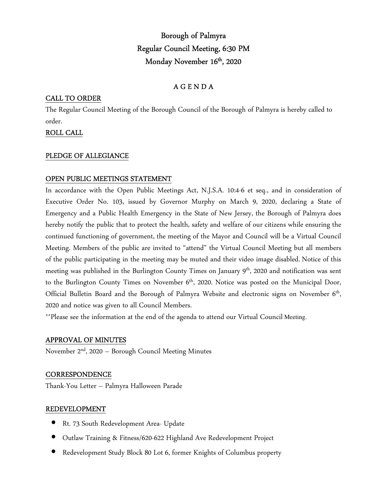# Borough of Palmyra Regular Council Meeting, 6:30 PM Monday November 16<sup>th</sup>, 2020

# A G E N D A

## CALL TO ORDER

The Regular Council Meeting of the Borough Council of the Borough of Palmyra is hereby called to order.

# ROLL CALL

#### PLEDGE OF ALLEGIANCE

### OPEN PUBLIC MEETINGS STATEMENT

In accordance with the Open Public Meetings Act, N.J.S.A. 10:4-6 et seq., and in consideration of Executive Order No. 103, issued by Governor Murphy on March 9, 2020, declaring a State of Emergency and a Public Health Emergency in the State of New Jersey, the Borough of Palmyra does hereby notify the public that to protect the health, safety and welfare of our citizens while ensuring the continued functioning of government, the meeting of the Mayor and Council will be a Virtual Council Meeting. Members of the public are invited to "attend" the Virtual Council Meeting but all members of the public participating in the meeting may be muted and their video image disabled. Notice of this meeting was published in the Burlington County Times on January 9<sup>th</sup>, 2020 and notification was sent to the Burlington County Times on November 6<sup>th</sup>, 2020. Notice was posted on the Municipal Door, Official Bulletin Board and the Borough of Palmyra Website and electronic signs on November 6<sup>th</sup>, 2020 and notice was given to all Council Members.

\*\*Please see the information at the end of the agenda to attend our Virtual Council Meeting.

#### APPROVAL OF MINUTES

November  $2<sup>nd</sup>$ , 2020 – Borough Council Meeting Minutes

#### CORRESPONDENCE

Thank-You Letter – Palmyra Halloween Parade

#### REDEVELOPMENT

- Rt. 73 South Redevelopment Area- Update
- Outlaw Training & Fitness/620-622 Highland Ave Redevelopment Project
- Redevelopment Study Block 80 Lot 6, former Knights of Columbus property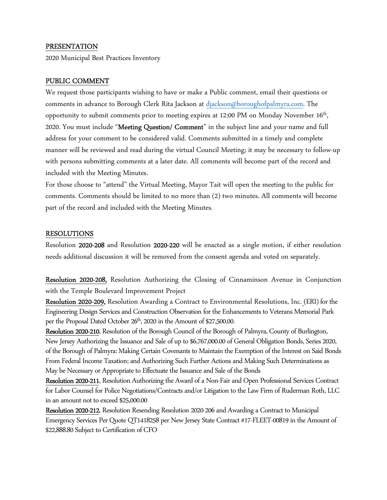#### PRESENTATION

2020 Municipal Best Practices Inventory

#### PUBLIC COMMENT

We request those participants wishing to have or make a Public comment, email their questions or comments in advance to Borough Clerk Rita Jackson at djackson@boroughofpalmyra.com. The opportunity to submit comments prior to meeting expires at 12:00 PM on Monday November  $16^{\text{th}}$ , 2020. You must include "Meeting Question/ Comment" in the subject line and your name and full address for your comment to be considered valid. Comments submitted in a timely and complete manner will be reviewed and read during the virtual Council Meeting; it may be necessary to follow-up with persons submitting comments at a later date. All comments will become part of the record and included with the Meeting Minutes.

For those choose to "attend" the Virtual Meeting, Mayor Tait will open the meeting to the public for comments. Comments should be limited to no more than (2) two minutes. All comments will become part of the record and included with the Meeting Minutes.

#### RESOLUTIONS

Resolution 2020-208 and Resolution 2020-220 will be enacted as a single motion, if either resolution needs additional discussion it will be removed from the consent agenda and voted on separately.

Resolution 2020-208, Resolution Authorizing the Closing of Cinnaminson Avenue in Conjunction with the Temple Boulevard Improvement Project

Resolution 2020-209, Resolution Awarding a Contract to Environmental Resolutions, Inc. (ERI) for the Engineering Design Services and Construction Observation for the Enhancements to Veterans Memorial Park per the Proposal Dated October 26<sup>th</sup>, 2020 in the Amount of \$27,500.00.

Resolution 2020-210, Resolution of the Borough Council of the Borough of Palmyra, County of Burlington, New Jersey Authorizing the Issuance and Sale of up to \$6,767,000.00 of General Obligation Bonds, Series 2020, of the Borough of Palmyra: Making Certain Covenants to Maintain the Exemption of the Interest on Said Bonds From Federal Income Taxation; and Authorizing Such Further Actions and Making Such Determinations as May be Necessary or Appropriate to Effectuate the Issuance and Sale of the Bonds

Resolution 2020-211, Resolution Authorizing the Award of a Non-Fair and Open Professional Services Contract for Labor Counsel for Police Negotiations/Contracts and/or Litigation to the Law Firm of Ruderman Roth, LLC in an amount not to exceed \$25,000.00

Resolution 2020-212, Resolution Resending Resolution 2020-206 and Awarding a Contract to Municipal Emergency Services Per Quote QT1418258 per New Jersey State Contract #17-FLEET-00819 in the Amount of \$22,888.80 Subject to Certification of CFO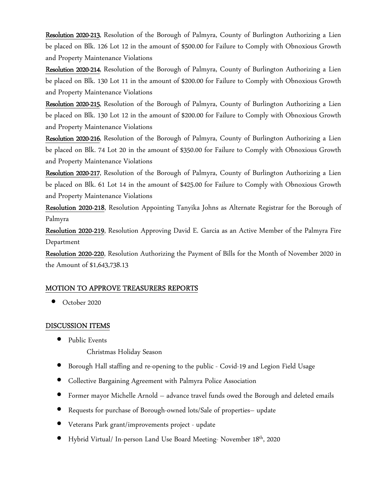Resolution 2020-213, Resolution of the Borough of Palmyra, County of Burlington Authorizing a Lien be placed on Blk. 126 Lot 12 in the amount of \$500.00 for Failure to Comply with Obnoxious Growth and Property Maintenance Violations

Resolution 2020-214, Resolution of the Borough of Palmyra, County of Burlington Authorizing a Lien be placed on Blk. 130 Lot 11 in the amount of \$200.00 for Failure to Comply with Obnoxious Growth and Property Maintenance Violations

Resolution 2020-215, Resolution of the Borough of Palmyra, County of Burlington Authorizing a Lien be placed on Blk. 130 Lot 12 in the amount of \$200.00 for Failure to Comply with Obnoxious Growth and Property Maintenance Violations

Resolution 2020-216, Resolution of the Borough of Palmyra, County of Burlington Authorizing a Lien be placed on Blk. 74 Lot 20 in the amount of \$350.00 for Failure to Comply with Obnoxious Growth and Property Maintenance Violations

Resolution 2020-217, Resolution of the Borough of Palmyra, County of Burlington Authorizing a Lien be placed on Blk. 61 Lot 14 in the amount of \$425.00 for Failure to Comply with Obnoxious Growth and Property Maintenance Violations

Resolution 2020-218, Resolution Appointing Tanyika Johns as Alternate Registrar for the Borough of Palmyra

Resolution 2020-219, Resolution Approving David E. Garcia as an Active Member of the Palmyra Fire Department

Resolution 2020-220, Resolution Authorizing the Payment of Bills for the Month of November 2020 in the Amount of \$1,643,738.13

#### MOTION TO APPROVE TREASURERS REPORTS

• October 2020

#### DISCUSSION ITEMS

• Public Events

Christmas Holiday Season

- Borough Hall staffing and re-opening to the public Covid-19 and Legion Field Usage
- Collective Bargaining Agreement with Palmyra Police Association
- Former mayor Michelle Arnold advance travel funds owed the Borough and deleted emails
- Requests for purchase of Borough-owned lots/Sale of properties– update
- Veterans Park grant/improvements project update
- Hybrid Virtual/ In-person Land Use Board Meeting- November 18th, 2020